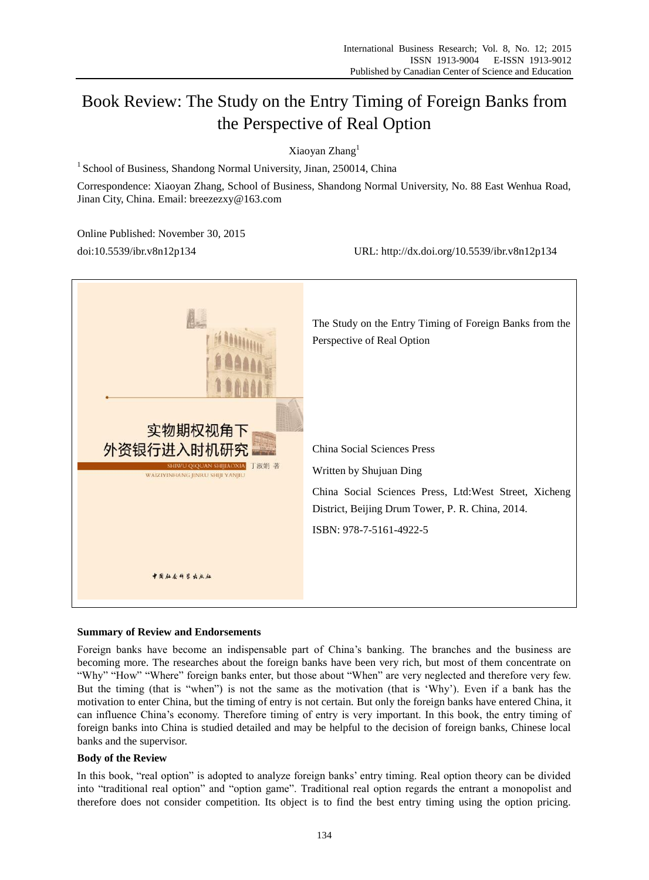# Book Review: The Study on the Entry Timing of Foreign Banks from the Perspective of Real Option

Xiaoyan Zhang<sup>1</sup>

<sup>1</sup> School of Business, Shandong Normal University, Jinan, 250014, China

Correspondence: Xiaoyan Zhang, School of Business, Shandong Normal University, No. 88 East Wenhua Road, Jinan City, China. Email: breezezxy@163.com

Online Published: November 30, 2015

doi:10.5539/ibr.v8n12p134 URL: http://dx.doi.org/10.5539/ibr.v8n12p134



#### **Summary of Review and Endorsements**

Foreign banks have become an indispensable part of China"s banking. The branches and the business are becoming more. The researches about the foreign banks have been very rich, but most of them concentrate on "Why" "How" "Where" foreign banks enter, but those about "When" are very neglected and therefore very few. But the timing (that is "when") is not the same as the motivation (that is "Why"). Even if a bank has the motivation to enter China, but the timing of entry is not certain. But only the foreign banks have entered China, it can influence China"s economy. Therefore timing of entry is very important. In this book, the entry timing of foreign banks into China is studied detailed and may be helpful to the decision of foreign banks, Chinese local banks and the supervisor.

#### **Body of the Review**

In this book, "real option" is adopted to analyze foreign banks' entry timing. Real option theory can be divided into "traditional real option" and "option game". Traditional real option regards the entrant a monopolist and therefore does not consider competition. Its object is to find the best entry timing using the option pricing.